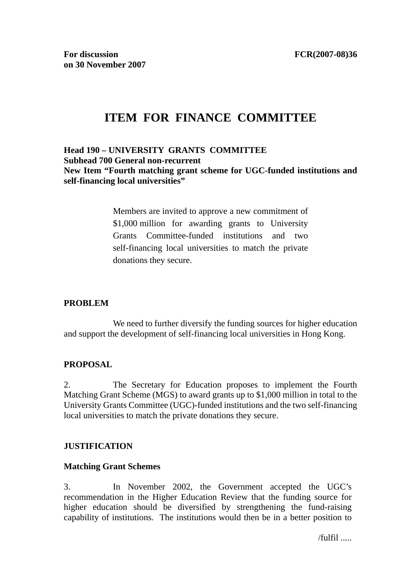# **ITEM FOR FINANCE COMMITTEE**

# **Head 190 – UNIVERSITY GRANTS COMMITTEE Subhead 700 General non-recurrent New Item "Fourth matching grant scheme for UGC-funded institutions and self-financing local universities"**

Members are invited to approve a new commitment of \$1,000 million for awarding grants to University Grants Committee-funded institutions and two self-financing local universities to match the private donations they secure.

# **PROBLEM**

 We need to further diversify the funding sources for higher education and support the development of self-financing local universities in Hong Kong.

# **PROPOSAL**

2. The Secretary for Education proposes to implement the Fourth Matching Grant Scheme (MGS) to award grants up to \$1,000 million in total to the University Grants Committee (UGC)-funded institutions and the two self-financing local universities to match the private donations they secure.

# **JUSTIFICATION**

# **Matching Grant Schemes**

3. In November 2002, the Government accepted the UGC's recommendation in the Higher Education Review that the funding source for higher education should be diversified by strengthening the fund-raising capability of institutions. The institutions would then be in a better position to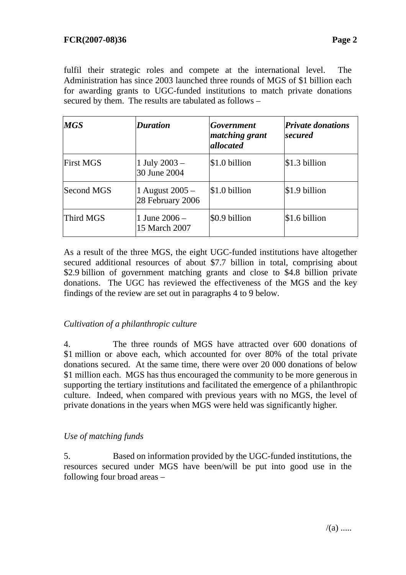fulfil their strategic roles and compete at the international level. The Administration has since 2003 launched three rounds of MGS of \$1 billion each for awarding grants to UGC-funded institutions to match private donations secured by them. The results are tabulated as follows –

| <b>MGS</b>       | <b>Duration</b>                     | Government<br><i>matching grant</i><br>allocated | <b>Private donations</b><br>secured |
|------------------|-------------------------------------|--------------------------------------------------|-------------------------------------|
| <b>First MGS</b> | 1 July $2003 -$<br>30 June 2004     | \$1.0 billion                                    | $$1.3$ billion                      |
| Second MGS       | 1 August 2005 –<br>28 February 2006 | \$1.0 billion                                    | \$1.9 billion                       |
| Third MGS        | 1 June $2006 -$<br>15 March 2007    | \$0.9 billion                                    | $$1.6$ billion                      |

As a result of the three MGS, the eight UGC-funded institutions have altogether secured additional resources of about \$7.7 billion in total, comprising about \$2.9 billion of government matching grants and close to \$4.8 billion private donations. The UGC has reviewed the effectiveness of the MGS and the key findings of the review are set out in paragraphs 4 to 9 below.

# *Cultivation of a philanthropic culture*

4. The three rounds of MGS have attracted over 600 donations of \$1 million or above each, which accounted for over 80% of the total private donations secured. At the same time, there were over 20 000 donations of below \$1 million each. MGS has thus encouraged the community to be more generous in supporting the tertiary institutions and facilitated the emergence of a philanthropic culture. Indeed, when compared with previous years with no MGS, the level of private donations in the years when MGS were held was significantly higher.

# *Use of matching funds*

5. Based on information provided by the UGC-funded institutions, the resources secured under MGS have been/will be put into good use in the following four broad areas –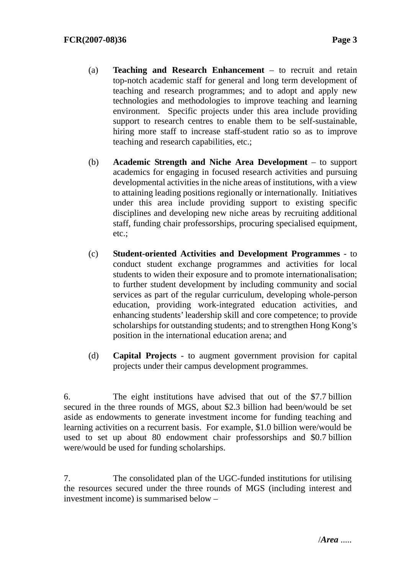- (a) **Teaching and Research Enhancement** to recruit and retain top-notch academic staff for general and long term development of teaching and research programmes; and to adopt and apply new technologies and methodologies to improve teaching and learning environment. Specific projects under this area include providing support to research centres to enable them to be self-sustainable, hiring more staff to increase staff-student ratio so as to improve teaching and research capabilities, etc.;
- (b) **Academic Strength and Niche Area Development** to support academics for engaging in focused research activities and pursuing developmental activities in the niche areas of institutions, with a view to attaining leading positions regionally or internationally. Initiatives under this area include providing support to existing specific disciplines and developing new niche areas by recruiting additional staff, funding chair professorships, procuring specialised equipment, etc.;
- (c) **Student-oriented Activities and Development Programmes** to conduct student exchange programmes and activities for local students to widen their exposure and to promote internationalisation; to further student development by including community and social services as part of the regular curriculum, developing whole-person education, providing work-integrated education activities, and enhancing students' leadership skill and core competence; to provide scholarships for outstanding students; and to strengthen Hong Kong's position in the international education arena; and
- (d) **Capital Projects** to augment government provision for capital projects under their campus development programmes.

6. The eight institutions have advised that out of the \$7.7 billion secured in the three rounds of MGS, about \$2.3 billion had been/would be set aside as endowments to generate investment income for funding teaching and learning activities on a recurrent basis. For example, \$1.0 billion were/would be used to set up about 80 endowment chair professorships and \$0.7 billion were/would be used for funding scholarships.

7. The consolidated plan of the UGC-funded institutions for utilising the resources secured under the three rounds of MGS (including interest and investment income) is summarised below –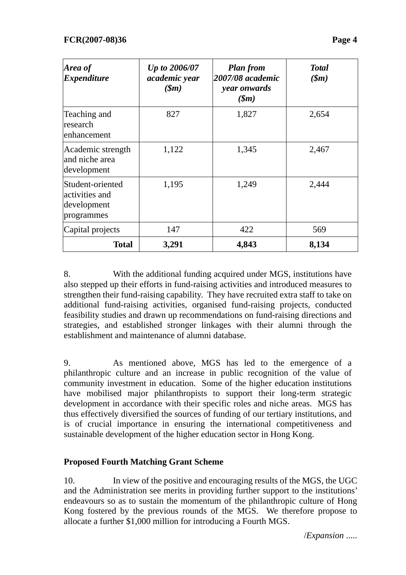| Page |
|------|
|      |

| Area of<br><i><b>Expenditure</b></i>                            | Up to 2006/07<br>academic year<br>$(\mathbf{\$}m)$ | <b>Plan from</b><br>2007/08 academic<br>year onwards<br>$(\mathbf{\$}m)$ | <b>Total</b><br>$(\mathfrak{m})$ |
|-----------------------------------------------------------------|----------------------------------------------------|--------------------------------------------------------------------------|----------------------------------|
| Teaching and<br>research<br>enhancement                         | 827                                                | 1,827                                                                    | 2,654                            |
| Academic strength<br>and niche area<br>development              | 1,122                                              | 1,345                                                                    | 2,467                            |
| Student-oriented<br>activities and<br>development<br>programmes | 1,195                                              | 1,249                                                                    | 2,444                            |
| Capital projects                                                | 147                                                | 422                                                                      | 569                              |
| <b>Total</b>                                                    | 3,291                                              | 4,843                                                                    | 8,134                            |

8. With the additional funding acquired under MGS, institutions have also stepped up their efforts in fund-raising activities and introduced measures to strengthen their fund-raising capability. They have recruited extra staff to take on additional fund-raising activities, organised fund-raising projects, conducted feasibility studies and drawn up recommendations on fund-raising directions and strategies, and established stronger linkages with their alumni through the establishment and maintenance of alumni database.

9. As mentioned above, MGS has led to the emergence of a philanthropic culture and an increase in public recognition of the value of community investment in education. Some of the higher education institutions have mobilised major philanthropists to support their long-term strategic development in accordance with their specific roles and niche areas. MGS has thus effectively diversified the sources of funding of our tertiary institutions, and is of crucial importance in ensuring the international competitiveness and sustainable development of the higher education sector in Hong Kong.

# **Proposed Fourth Matching Grant Scheme**

10. In view of the positive and encouraging results of the MGS, the UGC and the Administration see merits in providing further support to the institutions' endeavours so as to sustain the momentum of the philanthropic culture of Hong Kong fostered by the previous rounds of the MGS. We therefore propose to allocate a further \$1,000 million for introducing a Fourth MGS.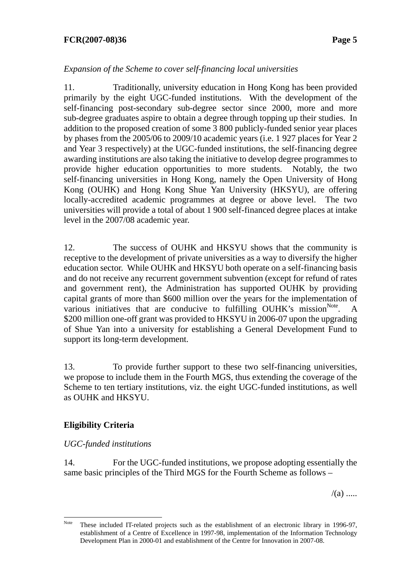# **FCR(2007-08)36 Page 5**

# *Expansion of the Scheme to cover self-financing local universities*

11. Traditionally, university education in Hong Kong has been provided primarily by the eight UGC-funded institutions. With the development of the self-financing post-secondary sub-degree sector since 2000, more and more sub-degree graduates aspire to obtain a degree through topping up their studies. In addition to the proposed creation of some 3 800 publicly-funded senior year places by phases from the 2005/06 to 2009/10 academic years (i.e. 1 927 places for Year 2 and Year 3 respectively) at the UGC-funded institutions, the self-financing degree awarding institutions are also taking the initiative to develop degree programmes to provide higher education opportunities to more students. Notably, the two self-financing universities in Hong Kong, namely the Open University of Hong Kong (OUHK) and Hong Kong Shue Yan University (HKSYU), are offering locally-accredited academic programmes at degree or above level. The two universities will provide a total of about 1 900 self-financed degree places at intake level in the 2007/08 academic year.

12. The success of OUHK and HKSYU shows that the community is receptive to the development of private universities as a way to diversify the higher education sector. While OUHK and HKSYU both operate on a self-financing basis and do not receive any recurrent government subvention (except for refund of rates and government rent), the Administration has supported OUHK by providing capital grants of more than \$600 million over the years for the implementation of various initiatives that are conducive to fulfilling OUHK's mission $N<sup>ote</sup>$ . A \$200 million one-off grant was provided to HKSYU in 2006-07 upon the upgrading of Shue Yan into a university for establishing a General Development Fund to support its long-term development.

13. To provide further support to these two self-financing universities, we propose to include them in the Fourth MGS, thus extending the coverage of the Scheme to ten tertiary institutions, viz. the eight UGC-funded institutions, as well as OUHK and HKSYU.

# **Eligibility Criteria**

 $\overline{a}$ 

# *UGC-funded institutions*

14. For the UGC-funded institutions, we propose adopting essentially the same basic principles of the Third MGS for the Fourth Scheme as follows –

 $/(a)$  .....

Note These included IT-related projects such as the establishment of an electronic library in 1996-97, establishment of a Centre of Excellence in 1997-98, implementation of the Information Technology Development Plan in 2000-01 and establishment of the Centre for Innovation in 2007-08.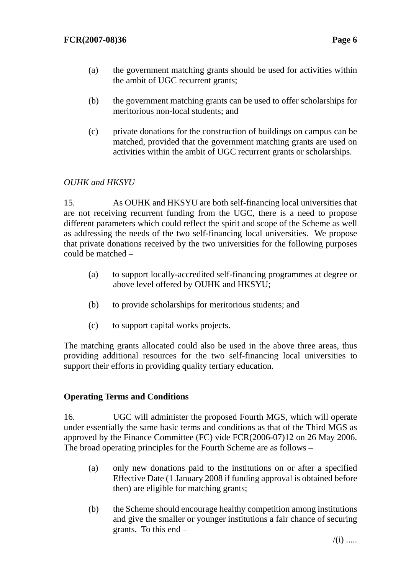- (a) the government matching grants should be used for activities within the ambit of UGC recurrent grants;
- (b) the government matching grants can be used to offer scholarships for meritorious non-local students; and
- (c) private donations for the construction of buildings on campus can be matched, provided that the government matching grants are used on activities within the ambit of UGC recurrent grants or scholarships.

# *OUHK and HKSYU*

15. As OUHK and HKSYU are both self-financing local universities that are not receiving recurrent funding from the UGC, there is a need to propose different parameters which could reflect the spirit and scope of the Scheme as well as addressing the needs of the two self-financing local universities. We propose that private donations received by the two universities for the following purposes could be matched –

- (a) to support locally-accredited self-financing programmes at degree or above level offered by OUHK and HKSYU;
- (b) to provide scholarships for meritorious students; and
- (c) to support capital works projects.

The matching grants allocated could also be used in the above three areas, thus providing additional resources for the two self-financing local universities to support their efforts in providing quality tertiary education.

# **Operating Terms and Conditions**

16. UGC will administer the proposed Fourth MGS, which will operate under essentially the same basic terms and conditions as that of the Third MGS as approved by the Finance Committee (FC) vide FCR(2006-07)12 on 26 May 2006. The broad operating principles for the Fourth Scheme are as follows –

- (a) only new donations paid to the institutions on or after a specified Effective Date (1 January 2008 if funding approval is obtained before then) are eligible for matching grants;
- (b) the Scheme should encourage healthy competition among institutions and give the smaller or younger institutions a fair chance of securing grants. To this end –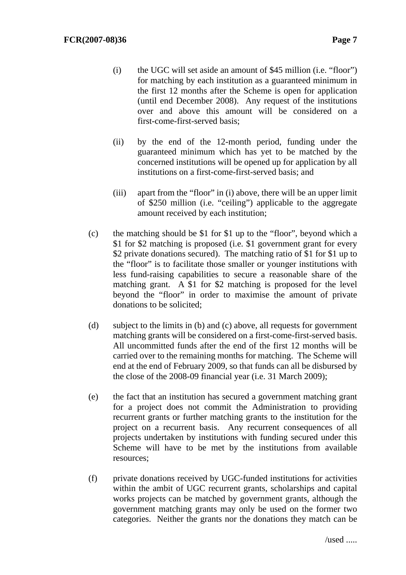- (i) the UGC will set aside an amount of \$45 million (i.e. "floor") for matching by each institution as a guaranteed minimum in the first 12 months after the Scheme is open for application (until end December 2008). Any request of the institutions over and above this amount will be considered on a first-come-first-served basis;
- (ii) by the end of the 12-month period, funding under the guaranteed minimum which has yet to be matched by the concerned institutions will be opened up for application by all institutions on a first-come-first-served basis; and
- (iii) apart from the "floor" in (i) above, there will be an upper limit of \$250 million (i.e. "ceiling") applicable to the aggregate amount received by each institution;
- (c) the matching should be \$1 for \$1 up to the "floor", beyond which a \$1 for \$2 matching is proposed (i.e. \$1 government grant for every \$2 private donations secured). The matching ratio of \$1 for \$1 up to the "floor" is to facilitate those smaller or younger institutions with less fund-raising capabilities to secure a reasonable share of the matching grant. A \$1 for \$2 matching is proposed for the level beyond the "floor" in order to maximise the amount of private donations to be solicited;
- (d) subject to the limits in (b) and (c) above, all requests for government matching grants will be considered on a first-come-first-served basis. All uncommitted funds after the end of the first 12 months will be carried over to the remaining months for matching. The Scheme will end at the end of February 2009, so that funds can all be disbursed by the close of the 2008-09 financial year (i.e. 31 March 2009);
- (e) the fact that an institution has secured a government matching grant for a project does not commit the Administration to providing recurrent grants or further matching grants to the institution for the project on a recurrent basis. Any recurrent consequences of all projects undertaken by institutions with funding secured under this Scheme will have to be met by the institutions from available resources;
- (f) private donations received by UGC-funded institutions for activities within the ambit of UGC recurrent grants, scholarships and capital works projects can be matched by government grants, although the government matching grants may only be used on the former two categories. Neither the grants nor the donations they match can be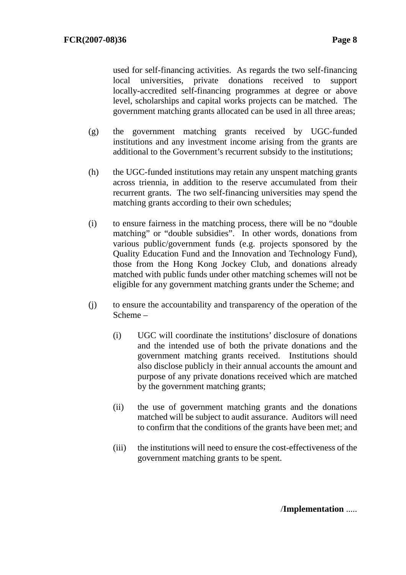used for self-financing activities. As regards the two self-financing local universities, private donations received to support locally-accredited self-financing programmes at degree or above level, scholarships and capital works projects can be matched. The government matching grants allocated can be used in all three areas;

- (g) the government matching grants received by UGC-funded institutions and any investment income arising from the grants are additional to the Government's recurrent subsidy to the institutions;
- (h) the UGC-funded institutions may retain any unspent matching grants across triennia, in addition to the reserve accumulated from their recurrent grants. The two self-financing universities may spend the matching grants according to their own schedules;
- (i) to ensure fairness in the matching process, there will be no "double matching" or "double subsidies". In other words, donations from various public/government funds (e.g. projects sponsored by the Quality Education Fund and the Innovation and Technology Fund), those from the Hong Kong Jockey Club, and donations already matched with public funds under other matching schemes will not be eligible for any government matching grants under the Scheme; and
- (j) to ensure the accountability and transparency of the operation of the Scheme –
	- (i) UGC will coordinate the institutions' disclosure of donations and the intended use of both the private donations and the government matching grants received. Institutions should also disclose publicly in their annual accounts the amount and purpose of any private donations received which are matched by the government matching grants;
	- (ii) the use of government matching grants and the donations matched will be subject to audit assurance. Auditors will need to confirm that the conditions of the grants have been met; and
	- (iii) the institutions will need to ensure the cost-effectiveness of the government matching grants to be spent.

/**Implementation** .....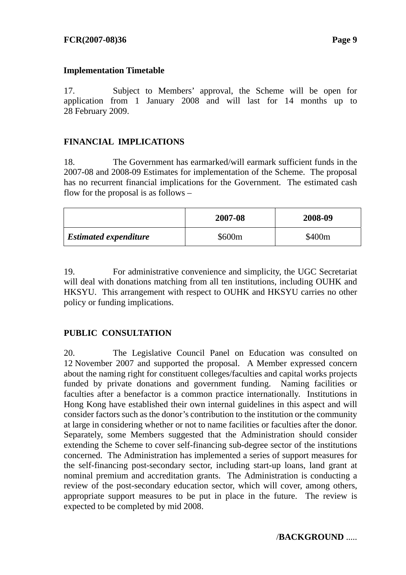## **Implementation Timetable**

17. Subject to Members' approval, the Scheme will be open for application from 1 January 2008 and will last for 14 months up to 28 February 2009.

# **FINANCIAL IMPLICATIONS**

18. The Government has earmarked/will earmark sufficient funds in the 2007-08 and 2008-09 Estimates for implementation of the Scheme. The proposal has no recurrent financial implications for the Government. The estimated cash flow for the proposal is as follows –

|                              | 2007-08            | 2008-09 |
|------------------------------|--------------------|---------|
| <b>Estimated expenditure</b> | \$600 <sub>m</sub> | \$400m  |

19. For administrative convenience and simplicity, the UGC Secretariat will deal with donations matching from all ten institutions, including OUHK and HKSYU. This arrangement with respect to OUHK and HKSYU carries no other policy or funding implications.

# **PUBLIC CONSULTATION**

20. The Legislative Council Panel on Education was consulted on 12 November 2007 and supported the proposal. A Member expressed concern about the naming right for constituent colleges/faculties and capital works projects funded by private donations and government funding. Naming facilities or faculties after a benefactor is a common practice internationally. Institutions in Hong Kong have established their own internal guidelines in this aspect and will consider factors such as the donor's contribution to the institution or the community at large in considering whether or not to name facilities or faculties after the donor. Separately, some Members suggested that the Administration should consider extending the Scheme to cover self-financing sub-degree sector of the institutions concerned. The Administration has implemented a series of support measures for the self-financing post-secondary sector, including start-up loans, land grant at nominal premium and accreditation grants. The Administration is conducting a review of the post-secondary education sector, which will cover, among others, appropriate support measures to be put in place in the future. The review is expected to be completed by mid 2008.